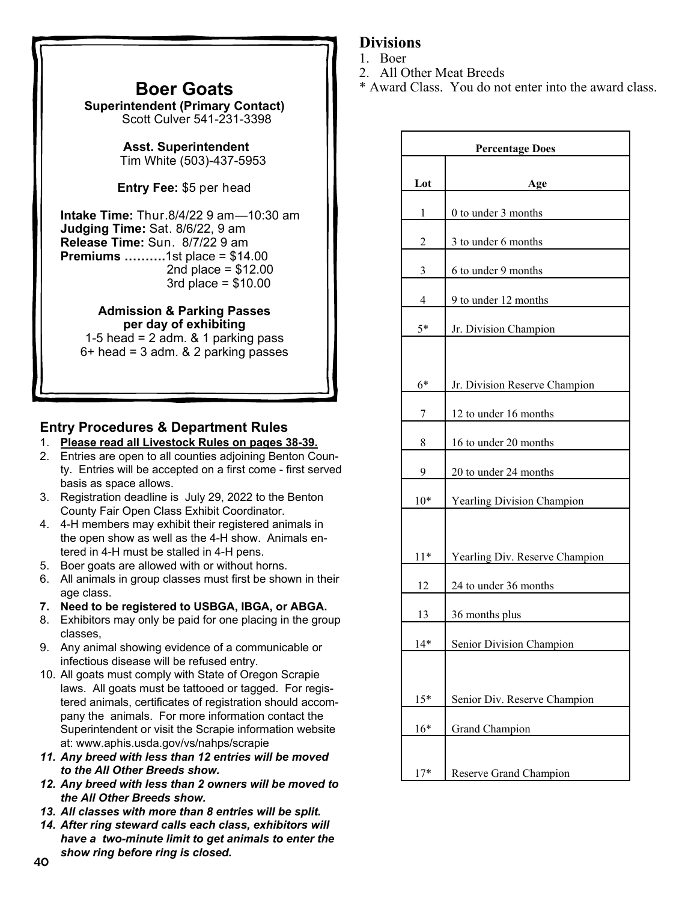## **Boer Goats**

**Superintendent (Primary Contact)**  Scott Culver 541-231-3398

> **Asst. Superintendent**  Tim White (503)-437-5953

**Entry Fee:** \$5 per head

**Intake Time:** Thur.8/4/22 9 am—10:30 am **Judging Time:** Sat. 8/6/22, 9 am **Release Time:** Sun. 8/7/22 9 am **Premiums ……….**1st place = \$14.00 2nd place =  $$12.00$ 3rd place = \$10.00

> **Admission & Parking Passes per day of exhibiting**

1-5 head =  $2$  adm.  $& 1$  parking pass  $6+$  head = 3 adm.  $& 2$  parking passes

## **Entry Procedures & Department Rules**

- 1. **Please read all Livestock Rules on pages 38-39.**
- 2. Entries are open to all counties adjoining Benton County. Entries will be accepted on a first come - first served basis as space allows.
- 3. Registration deadline is July 29, 2022 to the Benton County Fair Open Class Exhibit Coordinator.
- 4. 4-H members may exhibit their registered animals in the open show as well as the 4-H show. Animals entered in 4-H must be stalled in 4-H pens.
- 5. Boer goats are allowed with or without horns.
- 6. All animals in group classes must first be shown in their age class.
- **7. Need to be registered to USBGA, IBGA, or ABGA.**
- 8. Exhibitors may only be paid for one placing in the group classes,
- 9. Any animal showing evidence of a communicable or infectious disease will be refused entry.
- 10. All goats must comply with State of Oregon Scrapie laws. All goats must be tattooed or tagged. For registered animals, certificates of registration should accompany the animals. For more information contact the Superintendent or visit the Scrapie information website at: www.aphis.usda.gov/vs/nahps/scrapie
- *11. Any breed with less than 12 entries will be moved to the All Other Breeds show.*
- *12. Any breed with less than 2 owners will be moved to the All Other Breeds show.*
- *13. All classes with more than 8 entries will be split.*
- *14. After ring steward calls each class, exhibitors will have a two-minute limit to get animals to enter the show ring before ring is closed.* <sup>40</sup>

## **Divisions**

- 1. Boer
- 2. All Other Meat Breeds
- \* Award Class. You do not enter into the award class.

| <b>Percentage Does</b> |                                   |  |
|------------------------|-----------------------------------|--|
|                        |                                   |  |
| Lot                    | Age                               |  |
| 1                      | 0 to under 3 months               |  |
| 2                      | 3 to under 6 months               |  |
| 3                      | 6 to under 9 months               |  |
| 4                      | 9 to under 12 months              |  |
| $5*$                   | Jr. Division Champion             |  |
|                        |                                   |  |
| $6*$                   | Jr. Division Reserve Champion     |  |
| 7                      | 12 to under 16 months             |  |
| 8                      | 16 to under 20 months             |  |
| 9                      | 20 to under 24 months             |  |
| $10*$                  | <b>Yearling Division Champion</b> |  |
|                        |                                   |  |
| $11*$                  | Yearling Div. Reserve Champion    |  |
| 12                     | 24 to under 36 months             |  |
| 13                     | 36 months plus                    |  |
| $14*$                  | Senior Division Champion          |  |
|                        |                                   |  |
| $15*$                  | Senior Div. Reserve Champion      |  |
| $16*$                  | Grand Champion                    |  |
|                        |                                   |  |
| $17*$                  | Reserve Grand Champion            |  |